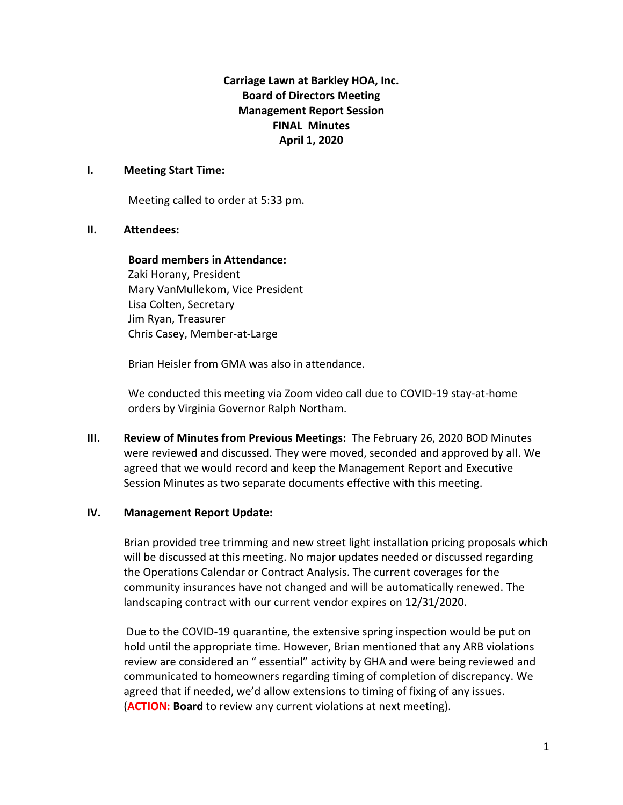**Carriage Lawn at Barkley HOA, Inc. Board of Directors Meeting Management Report Session FINAL Minutes April 1, 2020**

#### **I. Meeting Start Time:**

Meeting called to order at 5:33 pm.

#### **II. Attendees:**

## **Board members in Attendance:**

Zaki Horany, President Mary VanMullekom, Vice President Lisa Colten, Secretary Jim Ryan, Treasurer Chris Casey, Member-at-Large

Brian Heisler from GMA was also in attendance.

We conducted this meeting via Zoom video call due to COVID-19 stay-at-home orders by Virginia Governor Ralph Northam.

**III. Review of Minutes from Previous Meetings:** The February 26, 2020 BOD Minutes were reviewed and discussed. They were moved, seconded and approved by all. We agreed that we would record and keep the Management Report and Executive Session Minutes as two separate documents effective with this meeting.

## **IV. Management Report Update:**

Brian provided tree trimming and new street light installation pricing proposals which will be discussed at this meeting. No major updates needed or discussed regarding the Operations Calendar or Contract Analysis. The current coverages for the community insurances have not changed and will be automatically renewed. The landscaping contract with our current vendor expires on 12/31/2020.

Due to the COVID-19 quarantine, the extensive spring inspection would be put on hold until the appropriate time. However, Brian mentioned that any ARB violations review are considered an " essential" activity by GHA and were being reviewed and communicated to homeowners regarding timing of completion of discrepancy. We agreed that if needed, we'd allow extensions to timing of fixing of any issues. (**ACTION: Board** to review any current violations at next meeting).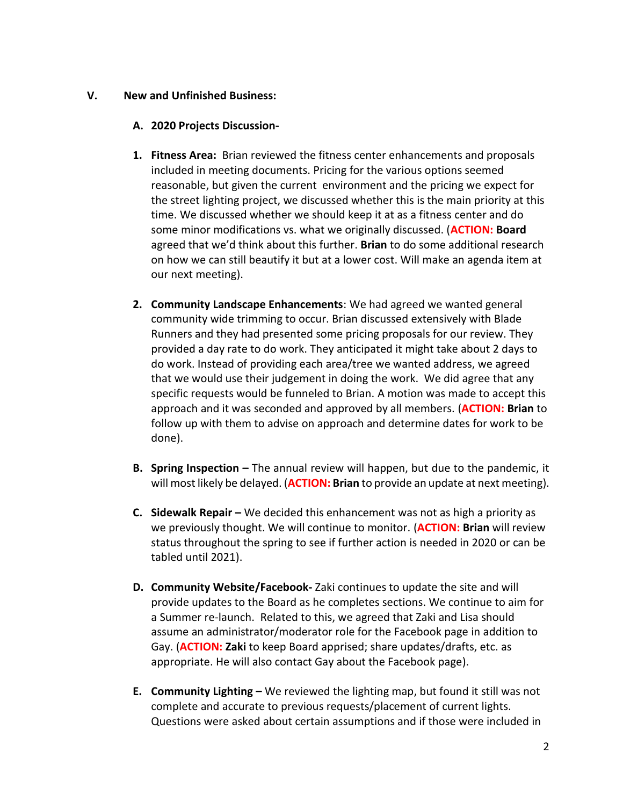## **V. New and Unfinished Business:**

# **A. 2020 Projects Discussion-**

- **1. Fitness Area:** Brian reviewed the fitness center enhancements and proposals included in meeting documents. Pricing for the various options seemed reasonable, but given the current environment and the pricing we expect for the street lighting project, we discussed whether this is the main priority at this time. We discussed whether we should keep it at as a fitness center and do some minor modifications vs. what we originally discussed. (**ACTION: Board** agreed that we'd think about this further. **Brian** to do some additional research on how we can still beautify it but at a lower cost. Will make an agenda item at our next meeting).
- **2. Community Landscape Enhancements**: We had agreed we wanted general community wide trimming to occur. Brian discussed extensively with Blade Runners and they had presented some pricing proposals for our review. They provided a day rate to do work. They anticipated it might take about 2 days to do work. Instead of providing each area/tree we wanted address, we agreed that we would use their judgement in doing the work. We did agree that any specific requests would be funneled to Brian. A motion was made to accept this approach and it was seconded and approved by all members. (**ACTION: Brian** to follow up with them to advise on approach and determine dates for work to be done).
- **B. Spring Inspection –** The annual review will happen, but due to the pandemic, it will most likely be delayed. (**ACTION: Brian** to provide an update at next meeting).
- **C. Sidewalk Repair –** We decided this enhancement was not as high a priority as we previously thought. We will continue to monitor. (**ACTION: Brian** will review status throughout the spring to see if further action is needed in 2020 or can be tabled until 2021).
- **D. Community Website/Facebook-** Zaki continues to update the site and will provide updates to the Board as he completes sections. We continue to aim for a Summer re-launch. Related to this, we agreed that Zaki and Lisa should assume an administrator/moderator role for the Facebook page in addition to Gay. (**ACTION: Zaki** to keep Board apprised; share updates/drafts, etc. as appropriate. He will also contact Gay about the Facebook page).
- **E. Community Lighting –** We reviewed the lighting map, but found it still was not complete and accurate to previous requests/placement of current lights. Questions were asked about certain assumptions and if those were included in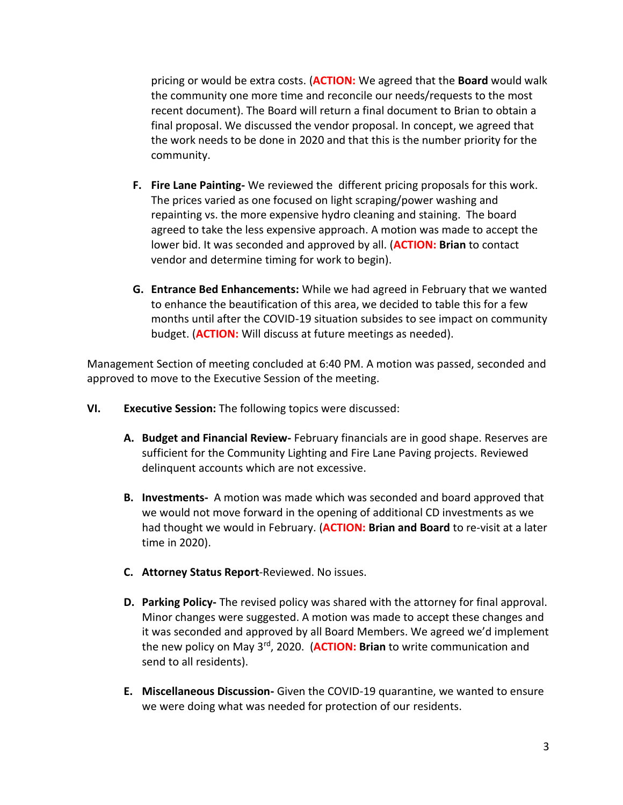pricing or would be extra costs. (**ACTION:** We agreed that the **Board** would walk the community one more time and reconcile our needs/requests to the most recent document). The Board will return a final document to Brian to obtain a final proposal. We discussed the vendor proposal. In concept, we agreed that the work needs to be done in 2020 and that this is the number priority for the community.

- **F. Fire Lane Painting-** We reviewed the different pricing proposals for this work. The prices varied as one focused on light scraping/power washing and repainting vs. the more expensive hydro cleaning and staining. The board agreed to take the less expensive approach. A motion was made to accept the lower bid. It was seconded and approved by all. (**ACTION: Brian** to contact vendor and determine timing for work to begin).
- **G. Entrance Bed Enhancements:** While we had agreed in February that we wanted to enhance the beautification of this area, we decided to table this for a few months until after the COVID-19 situation subsides to see impact on community budget. (**ACTION:** Will discuss at future meetings as needed).

Management Section of meeting concluded at 6:40 PM. A motion was passed, seconded and approved to move to the Executive Session of the meeting.

- **VI. Executive Session:** The following topics were discussed:
	- **A. Budget and Financial Review-** February financials are in good shape. Reserves are sufficient for the Community Lighting and Fire Lane Paving projects. Reviewed delinquent accounts which are not excessive.
	- **B. Investments-** A motion was made which was seconded and board approved that we would not move forward in the opening of additional CD investments as we had thought we would in February. (**ACTION: Brian and Board** to re-visit at a later time in 2020).
	- **C. Attorney Status Report**-Reviewed. No issues.
	- **D. Parking Policy-** The revised policy was shared with the attorney for final approval. Minor changes were suggested. A motion was made to accept these changes and it was seconded and approved by all Board Members. We agreed we'd implement the new policy on May 3rd, 2020. (**ACTION: Brian** to write communication and send to all residents).
	- **E. Miscellaneous Discussion-** Given the COVID-19 quarantine, we wanted to ensure we were doing what was needed for protection of our residents.